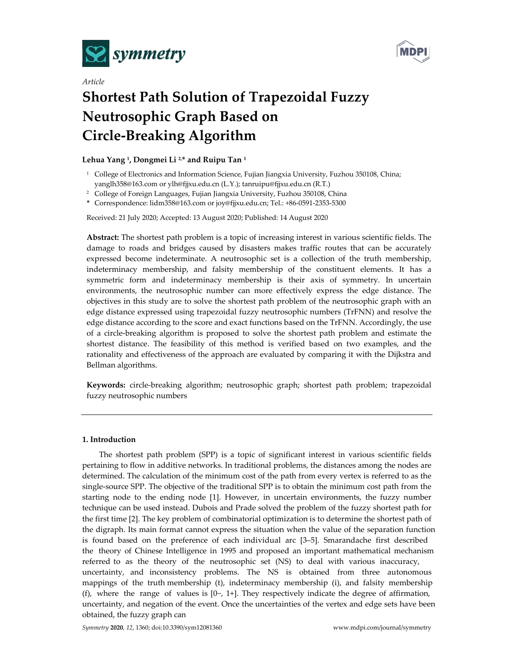

*Article*



# **Shortest Path Solution of Trapezoidal Fuzzy Neutrosophic Graph Based on Circle‐Breaking Algorithm**

# **Lehua Yang 1, Dongmei Li 2,\* and Ruipu Tan <sup>1</sup>**

- <sup>1</sup> College of Electronics and Information Science, Fujian Jiangxia University, Fuzhou 350108, China; yanglh358@163.com or ylh@fjjxu.edu.cn (L.Y.); tanruipu@fjjxu.edu.cn (R.T.)
- <sup>2</sup> College of Foreign Languages, Fujian Jiangxia University, Fuzhou 350108, China
- **\*** Correspondence: lidm358@163.com or joy@fjjxu.edu.cn; Tel.: +86‐0591‐2353‐5300

Received: 21 July 2020; Accepted: 13 August 2020; Published: 14 August 2020

**Abstract:** The shortest path problem is a topic of increasing interest in various scientific fields. The damage to roads and bridges caused by disasters makes traffic routes that can be accurately expressed become indeterminate. A neutrosophic set is a collection of the truth membership, indeterminacy membership, and falsity membership of the constituent elements. It has a symmetric form and indeterminacy membership is their axis of symmetry. In uncertain environments, the neutrosophic number can more effectively express the edge distance. The objectives in this study are to solve the shortest path problem of the neutrosophic graph with an edge distance expressed using trapezoidal fuzzy neutrosophic numbers (TrFNN) and resolve the edge distance according to the score and exact functions based on the TrFNN. Accordingly, the use of a circle‐breaking algorithm is proposed to solve the shortest path problem and estimate the shortest distance. The feasibility of this method is verified based on two examples, and the rationality and effectiveness of the approach are evaluated by comparing it with the Dijkstra and Bellman algorithms.

**Keywords:** circle‐breaking algorithm; neutrosophic graph; shortest path problem; trapezoidal fuzzy neutrosophic numbers

#### **1. Introduction**

The shortest path problem (SPP) is a topic of significant interest in various scientific fields pertaining to flow in additive networks. In traditional problems, the distances among the nodes are determined. The calculation of the minimum cost of the path from every vertex is referred to as the single-source SPP. The objective of the traditional SPP is to obtain the minimum cost path from the starting node to the ending node [1]. However, in uncertain environments, the fuzzy number technique can be used instead. Dubois and Prade solved the problem of the fuzzy shortest path for the first time [2]. The key problem of combinatorial optimization is to determine the shortest path of the digraph. Its main format cannot express the situation when the value of the separation function is found based on the preference of each individual arc [3–5]. Smarandache first described the theory of Chinese Intelligence in 1995 and proposed an important mathematical mechanism referred to as the theory of the neutrosophic set (NS) to deal with various inaccuracy, uncertainty, and inconsistency problems. The NS is obtained from three autonomous mappings of the truth membership (t), indeterminacy membership (i), and falsity membership (f), where the range of values is [0−, 1+]. They respectively indicate the degree of affirmation, uncertainty, and negation of the event. Once the uncertainties of the vertex and edge sets have been obtained, the fuzzy graph can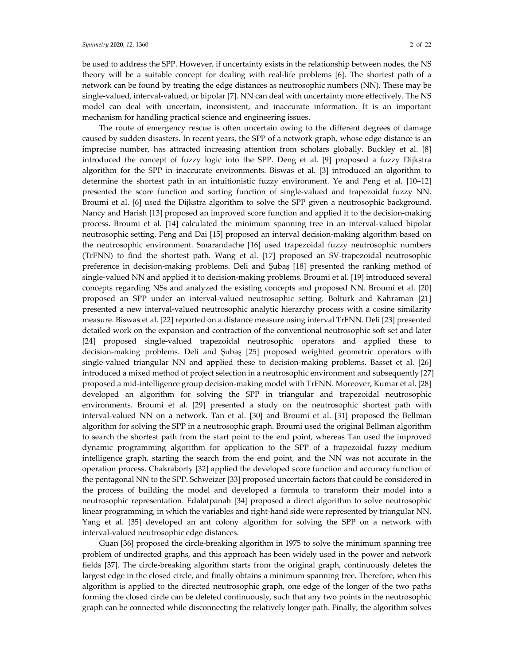be used to address the SPP. However, if uncertainty exists in the relationship between nodes, the NS theory will be a suitable concept for dealing with real‐life problems [6]. The shortest path of a network can be found by treating the edge distances as neutrosophic numbers (NN). These may be single-valued, interval-valued, or bipolar [7]. NN can deal with uncertainty more effectively. The NS model can deal with uncertain, inconsistent, and inaccurate information. It is an important mechanism for handling practical science and engineering issues.

The route of emergency rescue is often uncertain owing to the different degrees of damage caused by sudden disasters. In recent years, the SPP of a network graph, whose edge distance is an imprecise number, has attracted increasing attention from scholars globally. Buckley et al. [8] introduced the concept of fuzzy logic into the SPP. Deng et al. [9] proposed a fuzzy Dijkstra algorithm for the SPP in inaccurate environments. Biswas et al. [3] introduced an algorithm to determine the shortest path in an intuitionistic fuzzy environment. Ye and Peng et al. [10–12] presented the score function and sorting function of single‐valued and trapezoidal fuzzy NN. Broumi et al. [6] used the Dijkstra algorithm to solve the SPP given a neutrosophic background. Nancy and Harish [13] proposed an improved score function and applied it to the decision‐making process. Broumi et al. [14] calculated the minimum spanning tree in an interval‐valued bipolar neutrosophic setting. Peng and Dai [15] proposed an interval decision‐making algorithm based on the neutrosophic environment. Smarandache [16] used trapezoidal fuzzy neutrosophic numbers (TrFNN) to find the shortest path. Wang et al. [17] proposed an SV‐trapezoidal neutrosophic preference in decision‐making problems. Deli and Şubaş [18] presented the ranking method of single‐valued NN and applied it to decision‐making problems. Broumi et al. [19] introduced several concepts regarding NSs and analyzed the existing concepts and proposed NN. Broumi et al. [20] proposed an SPP under an interval‐valued neutrosophic setting. Bolturk and Kahraman [21] presented a new interval‐valued neutrosophic analytic hierarchy process with a cosine similarity measure. Biswas et al. [22] reported on a distance measure using interval TrFNN. Deli [23] presented detailed work on the expansion and contraction of the conventional neutrosophic soft set and later [24] proposed single‐valued trapezoidal neutrosophic operators and applied these to decision‐making problems. Deli and Şubaş [25] proposed weighted geometric operators with single-valued triangular NN and applied these to decision-making problems. Basset et al. [26] introduced a mixed method of project selection in a neutrosophic environment and subsequently [27] proposed a mid‐intelligence group decision‐making model with TrFNN. Moreover, Kumar et al. [28] developed an algorithm for solving the SPP in triangular and trapezoidal neutrosophic environments. Broumi et al. [29] presented a study on the neutrosophic shortest path with interval-valued NN on a network. Tan et al. [30] and Broumi et al. [31] proposed the Bellman algorithm for solving the SPP in a neutrosophic graph. Broumi used the original Bellman algorithm to search the shortest path from the start point to the end point, whereas Tan used the improved dynamic programming algorithm for application to the SPP of a trapezoidal fuzzy medium intelligence graph, starting the search from the end point, and the NN was not accurate in the operation process. Chakraborty [32] applied the developed score function and accuracy function of the pentagonal NN to the SPP. Schweizer [33] proposed uncertain factors that could be considered in the process of building the model and developed a formula to transform their model into a neutrosophic representation. Edalatpanah [34] proposed a direct algorithm to solve neutrosophic linear programming, in which the variables and right‐hand side were represented by triangular NN. Yang et al. [35] developed an ant colony algorithm for solving the SPP on a network with interval‐valued neutrosophic edge distances.

Guan [36] proposed the circle‐breaking algorithm in 1975 to solve the minimum spanning tree problem of undirected graphs, and this approach has been widely used in the power and network fields [37]. The circle‐breaking algorithm starts from the original graph, continuously deletes the largest edge in the closed circle, and finally obtains a minimum spanning tree. Therefore, when this algorithm is applied to the directed neutrosophic graph, one edge of the longer of the two paths forming the closed circle can be deleted continuously, such that any two points in the neutrosophic graph can be connected while disconnecting the relatively longer path. Finally, the algorithm solves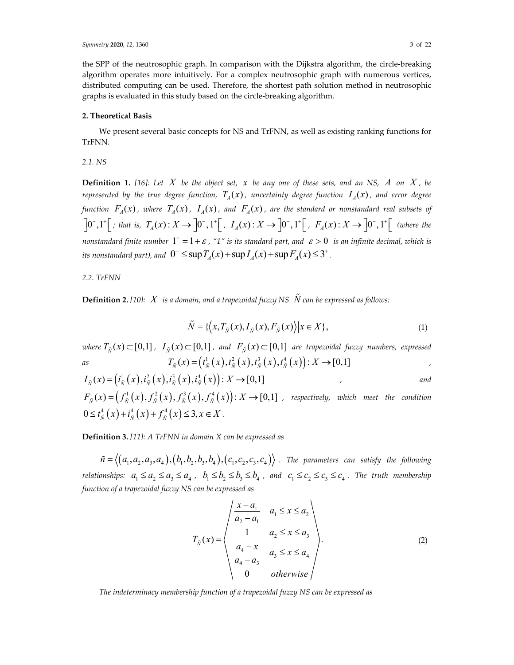the SPP of the neutrosophic graph. In comparison with the Dijkstra algorithm, the circle-breaking algorithm operates more intuitively. For a complex neutrosophic graph with numerous vertices, distributed computing can be used. Therefore, the shortest path solution method in neutrosophic graphs is evaluated in this study based on the circle‐breaking algorithm.

#### **2. Theoretical Basis**

We present several basic concepts for NS and TrFNN, as well as existing ranking functions for TrFNN.

*2.1. NS*

**Definition 1.** [16]: Let X be the object set, x be any one of these sets, and an NS, A on X, be represented by the true degree function,  $T_A(x)$ , uncertainty degree function  $I_A(x)$ , and error degree function  $F_{A}(x)$ , where  $T_{A}(x)$ ,  $I_{A}(x)$ , and  $F_{A}(x)$ , are the standard or nonstandard real subsets of  $\big[0^-,1^+\big[$ ; that is,  $T_A(x): X \to \big]0^-, 1^+\big[$ ,  $I_A(x): X \to \big]0^-, 1^+\big[$ ,  $F_A(x): X \to \big]0^-, 1^+\big[$  (where the *nonstandard finite number*  $1^+ = 1 + \varepsilon$ , "1" is its standard part, and  $\varepsilon > 0$  is an infinite decimal, which is *its* nonstandard part), and  $0^- \leq \sup T_A(x) + \sup I_A(x) + \sup F_A(x) \leq 3^+$ .

#### *2.2. TrFNN*

**Definition 2.** [10]:  $X$  is a domain, and a trapezoidal fuzzy NS  $\tilde{N}$  can be expressed as follows:

$$
\tilde{N} = \{ \left\langle x, T_{\tilde{N}}(x), I_{\tilde{N}}(x), F_{\tilde{N}}(x) \right\rangle | x \in X \},\tag{1}
$$

*where*  $T_{\tilde{N}}(x) \subset [0,1]$ ,  $I_{\tilde{N}}(x) \subset [0,1]$ , and  $F_{\tilde{N}}(x) \subset [0,1]$  are trapezoidal fuzzy numbers, expressed *as*  $T_{\tilde{N}}(x) = (t_{\tilde{N}}^1(x), t_{\tilde{N}}^2(x), t_{\tilde{N}}^3(x), t_{\tilde{N}}^4(x)) : X \to [0,1]$ 

$$
I_{\tilde{N}}(x) = (i_{\tilde{N}}^1(x), i_{\tilde{N}}^2(x), i_{\tilde{N}}^3(x), i_{\tilde{N}}^4(x)) : X \to [0,1]
$$
 and  

$$
F_{\tilde{N}}(x) = (f_1^1(x), f_2^2(x), f_3^3(x), f_4^4(x)), Y \to [0,1]
$$

 $F_{\tilde{N}}(x) = (f_{\tilde{N}}^1(x), f_{\tilde{N}}^2(x), f_{\tilde{N}}^3(x), f_{\tilde{N}}^4(x))$ :  $X \to [0,1]$  , respectively, which meet the condition  $0 \le t_{\tilde{N}}^4(x) + i_{\tilde{N}}^4(x) + f_{\tilde{N}}^4(x) \le 3, x \in X$ .

**Definition 3.** *[11]: A TrFNN in domain X can be expressed as*

 $\tilde{n} = \langle (a_1, a_2, a_3, a_4), (b_1, b_2, b_3, b_4), (c_1, c_2, c_3, c_4) \rangle$ . The parameters can satisfy the following *relationships:*  $a_1 \le a_2 \le a_3 \le a_4$ ,  $b_1 \le b_2 \le b_3 \le b_4$ , and  $c_1 \le c_2 \le c_3 \le c_4$ . The truth membership *function of a trapezoidal fuzzy NS can be expressed as*

$$
T_{\tilde{N}}(x) = \begin{pmatrix} \frac{x-a_1}{a_2-a_1} & a_1 \leq x \leq a_2\\ 1 & a_2 \leq x \leq a_3\\ \frac{a_4-x}{a_4-a_3} & a_3 \leq x \leq a_4\\ 0 & \text{otherwise} \end{pmatrix} . \tag{2}
$$

*The indeterminacy membership function of a trapezoidal fuzzy NS can be expressed as*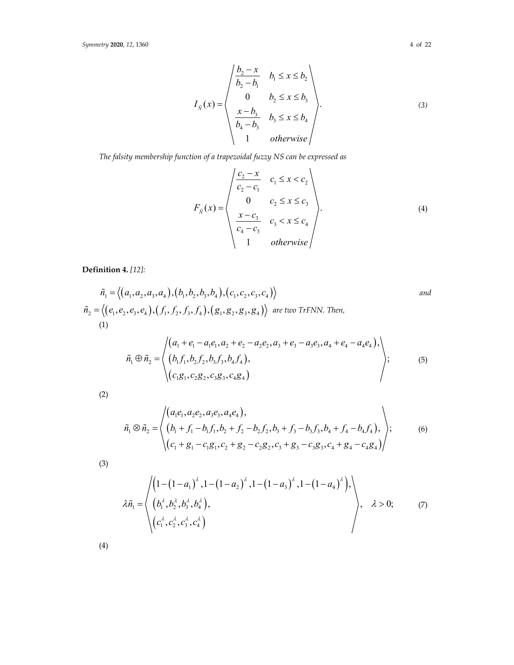$$
I_{\tilde{N}}(x) = \begin{pmatrix} \frac{b_2 - x}{b_2 - b_1} & b_1 \leq x \leq b_2 \\ 0 & b_2 \leq x \leq b_3 \\ \frac{x - b_3}{b_4 - b_3} & b_3 \leq x \leq b_4 \\ 1 & \text{otherwise} \end{pmatrix} . \tag{3}
$$

*The falsity membership function of a trapezoidal fuzzy NS can be expressed as*

$$
F_{\tilde{N}}(x) = \begin{pmatrix} \frac{c_2 - x}{c_2 - c_1} & c_1 \le x < c_2 \\ 0 & c_2 \le x \le c_3 \\ \frac{x - c_3}{c_4 - c_3} & c_3 < x \le c_4 \\ 1 & \text{otherwise} \end{pmatrix} . \tag{4}
$$

**Definition 4.** *[12]:*

$$
\tilde{n}_1 = \langle (a_1, a_2, a_3, a_4), (b_1, b_2, b_3, b_4), (c_1, c_2, c_3, c_4) \rangle
$$
\nand\n
$$
\tilde{n}_2 = \langle (e_1, e_2, e_3, e_4), (f_1, f_2, f_3, f_4), (g_1, g_2, g_3, g_4) \rangle
$$
\nare two TFENN. Then,\n(1)

$$
\tilde{n}_1 \oplus \tilde{n}_2 = \begin{pmatrix} (a_1 + e_1 - a_1 e_1, a_2 + e_2 - a_2 e_2, a_3 + e_3 - a_3 e_3, a_4 + e_4 - a_4 e_4), \\ (b_1 f_1, b_2 f_2, b_3 f_3, b_4 f_4), \\ (c_1 g_1, c_2 g_2, c_3 g_3, c_4 g_4) \end{pmatrix};
$$
\n(5)

(2)

$$
\tilde{n}_1 \otimes \tilde{n}_2 = \begin{pmatrix} (a_1e_1, a_2e_2, a_3e_3, a_4e_4), \\ (b_1 + f_1 - b_1f_1, b_2 + f_2 - b_2f_2, b_3 + f_3 - b_3f_3, b_4 + f_4 - b_4f_4), \\ (c_1 + g_1 - c_1g_1, c_2 + g_2 - c_2g_2, c_3 + g_3 - c_3g_3, c_4 + g_4 - c_4g_4) \end{pmatrix};
$$
\n(6)

(3)

$$
\lambda \tilde{n}_1 = \begin{pmatrix} \left(1 - \left(1 - a_1\right)^{\lambda}, 1 - \left(1 - a_2\right)^{\lambda}, 1 - \left(1 - a_3\right)^{\lambda}, 1 - \left(1 - a_4\right)^{\lambda}\right), \\ \left(b_1^{\lambda}, b_2^{\lambda}, b_3^{\lambda}, b_4^{\lambda}\right), \\ \left(c_1^{\lambda}, c_2^{\lambda}, c_3^{\lambda}, c_4^{\lambda}\right) \end{pmatrix}, \quad \lambda > 0; \quad (7)
$$

(4)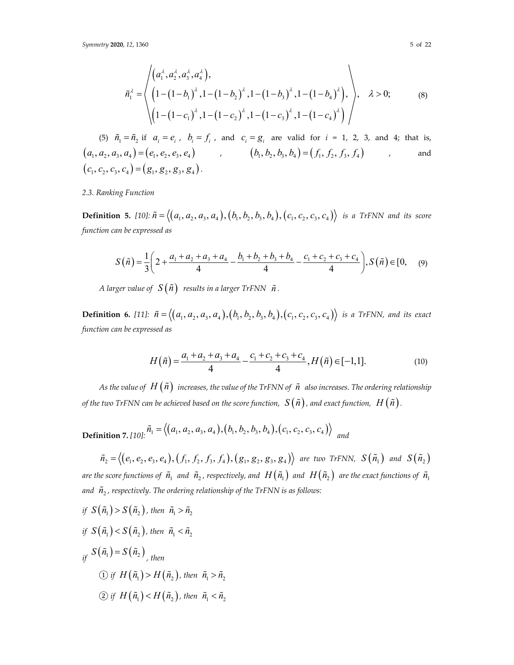$$
\tilde{n}_{1}^{\lambda} = \left\langle \begin{pmatrix} \left(a_{1}^{\lambda}, a_{2}^{\lambda}, a_{3}^{\lambda}, a_{4}^{\lambda}\right), & \left(1 - \left(1 - b_{1}\right)^{\lambda}, 1 - \left(1 - b_{2}\right)^{\lambda}, 1 - \left(1 - b_{3}\right)^{\lambda}, 1 - \left(1 - b_{4}\right)^{\lambda}\right), & \lambda > 0; \\ \left(1 - \left(1 - c_{1}\right)^{\lambda}, 1 - \left(1 - c_{2}\right)^{\lambda}, 1 - \left(1 - c_{3}\right)^{\lambda}, 1 - \left(1 - c_{4}\right)^{\lambda}\right)\end{pmatrix}, \quad \lambda > 0; \quad (8)
$$

(5)  $\tilde{n}_1 = \tilde{n}_2$  if  $a_i = e_i$ ,  $b_i = f_i$ , and  $c_i = g_i$  are valid for  $i = 1, 2, 3$ , and 4; that is,  $(a_1, a_2, a_3, a_4) = (e_1, e_2, e_3, e_4)$  ,  $(b_1, b_2, b_3, b_4) = (f_1, f_2, f_3, f_4)$  , and  $(c_1, c_2, c_3, c_4) = (g_1, g_2, g_3, g_4).$ 

*2.3. Ranking Function*

**Definition** 5. [10]:  $\tilde{n} = \langle (a_1, a_2, a_3, a_4), (b_1, b_2, b_3, b_4), (c_1, c_2, c_3, c_4) \rangle$  *is a TrFNN and its score function can be expressed as*

$$
S(\tilde{n}) = \frac{1}{3} \left( 2 + \frac{a_1 + a_2 + a_3 + a_4}{4} - \frac{b_1 + b_2 + b_3 + b_4}{4} - \frac{c_1 + c_2 + c_3 + c_4}{4} \right), S(\tilde{n}) \in [0, \quad (9)
$$

*A* larger value of  $S(\tilde{n})$  results in a larger TrFNN  $\tilde{n}$ .

**Definition** 6. [11]:  $\tilde{n} = \langle (a_1, a_2, a_3, a_4), (b_1, b_2, b_3, b_4), (c_1, c_2, c_3, c_4) \rangle$  *is a TrFNN, and its exact function can be expressed as*

$$
H(\tilde{n}) = \frac{a_1 + a_2 + a_3 + a_4}{4} - \frac{c_1 + c_2 + c_3 + c_4}{4}, H(\tilde{n}) \in [-1, 1].
$$
 (10)

As the value of  $H(\tilde{n})$  increases, the value of the TrFNN of  $\tilde{n}$  also increases. The ordering relationship of the two TrFNN can be achieved based on the score function,  $S(\tilde{n})$  , and exact function,  $H(\tilde{n})$ .

**Definition 7.**  $[10]$ :  $\tilde{n}_1 = \langle (a_1, a_2, a_3, a_4), (b_1, b_2, b_3, b_4), (c_1, c_2, c_3, c_4) \rangle$  and

 $\tilde{n}_2=\big\langle (e_1,e_2,e_3,e_4),(f_1,f_2,f_3,f_4),(g_1,g_2,g_3,g_4)\big\rangle$  are two TrFNN,  $S\big( \tilde{n}_1\big)$  and  $S\big( \tilde{n}_2\big)$ are the score functions of  $\,\tilde n_1\,$  and  $\,\tilde n_2$ , respectively, and  $\,H\big(\,\tilde n_1\big)\,$  and  $\,H\big(\,\tilde n_2\big)\,$  are the exact functions of  $\,\tilde n_1$ *and* <sup>2</sup> *n , respectively. The ordering relationship of the TrFNN is as follows:*

*if*  $S(\tilde{n}_1) > S(\tilde{n}_2)$ , then  $\tilde{n}_1 > \tilde{n}_2$ *if*  $S(\tilde{n}_1) < S(\tilde{n}_2)$ , then  $\tilde{n}_1 < \tilde{n}_2$  $\hat{S}(\tilde{n}_1) = S(\tilde{n}_2)$ <sub>then</sub>  $\widehat{p}$  *if*  $H(\tilde{n}_1) > H(\tilde{n}_2)$ , then  $\tilde{n}_1 > \tilde{n}_2$  $\widehat{p}$  *if*  $H(\tilde{n}_1) < H(\tilde{n}_2)$ , then  $\tilde{n}_1 < \tilde{n}_2$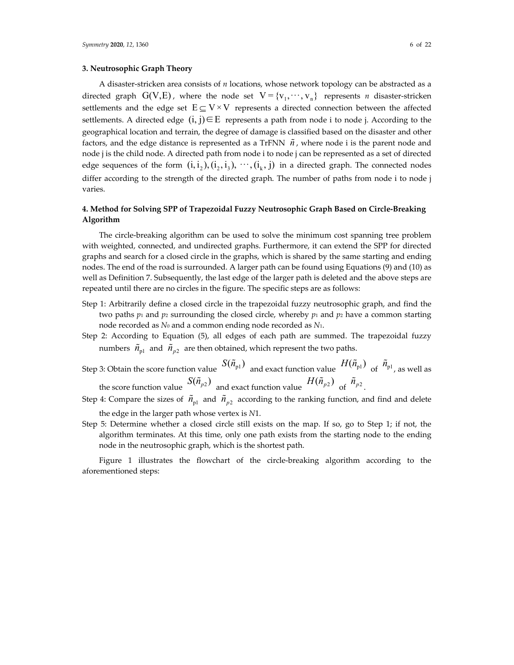#### **3. Neutrosophic Graph Theory**

A disaster‐stricken area consists of *n* locations, whose network topology can be abstracted as a directed graph G(V,E), where the node set  $V = {v_1, \dots, v_n}$  represents *n* disaster-stricken settlements and the edge set  $E \subseteq V \times V$  represents a directed connection between the affected settlements. A directed edge  $(i, j) \in E$  represents a path from node i to node j. According to the geographical location and terrain, the degree of damage is classified based on the disaster and other factors, and the edge distance is represented as a TrFNN  $\tilde{n}$ , where node i is the parent node and node j is the child node. A directed path from node i to node j can be represented as a set of directed edge sequences of the form  $(i, i_2), (i_2, i_3), \cdots, (i_k, j)$  in a directed graph. The connected nodes differ according to the strength of the directed graph. The number of paths from node i to node j varies.

# **4. Method for Solving SPP of Trapezoidal Fuzzy Neutrosophic Graph Based on Circle‐Breaking Algorithm**

The circle‐breaking algorithm can be used to solve the minimum cost spanning tree problem with weighted, connected, and undirected graphs. Furthermore, it can extend the SPP for directed graphs and search for a closed circle in the graphs, which is shared by the same starting and ending nodes. The end of the road is surrounded. A larger path can be found using Equations (9) and (10) as well as Definition 7. Subsequently, the last edge of the larger path is deleted and the above steps are repeated until there are no circles in the figure. The specific steps are as follows:

- Step 1: Arbitrarily define a closed circle in the trapezoidal fuzzy neutrosophic graph, and find the two paths  $p_1$  and  $p_2$  surrounding the closed circle, whereby  $p_1$  and  $p_2$  have a common starting node recorded as *N*<sup>0</sup> and a common ending node recorded as *N*1.
- Step 2: According to Equation (5), all edges of each path are summed. The trapezoidal fuzzy numbers  $\tilde{n}_{\text{pl}}$  and  $\tilde{n}_{p2}$  are then obtained, which represent the two paths.
- Step 3: Obtain the score function value  $S(\tilde{n}_{p1})$  and exact function value  $H(\tilde{n}_{p1})$  of  $\tilde{n}_{p1}$ , as well as the score function value  $S(\tilde{n}_{p2})$  and exact function value  $H(\tilde{n}_{p2})$  of  $\tilde{n}_{p2}$ .
- Step 4: Compare the sizes of  $\tilde{n}_{p1}$  and  $\tilde{n}_{p2}$  according to the ranking function, and find and delete the edge in the larger path whose vertex is *N*1.
- Step 5: Determine whether a closed circle still exists on the map. If so, go to Step 1; if not, the algorithm terminates. At this time, only one path exists from the starting node to the ending node in the neutrosophic graph, which is the shortest path.

Figure 1 illustrates the flowchart of the circle-breaking algorithm according to the aforementioned steps: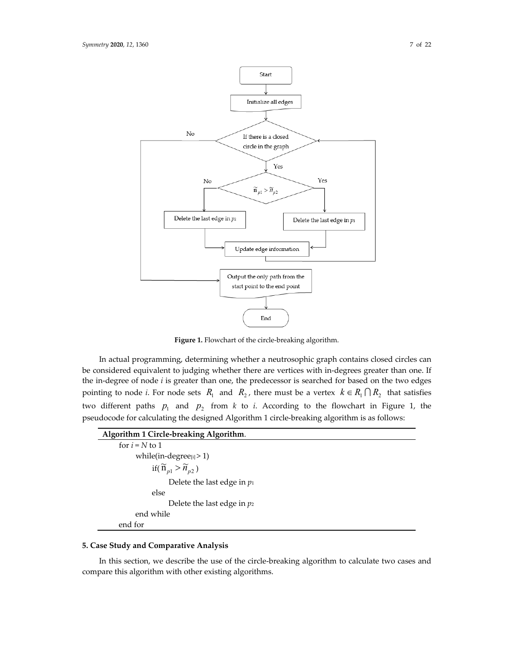



**Figure 1.** Flowchart of the circle‐breaking algorithm.

In actual programming, determining whether a neutrosophic graph contains closed circles can be considered equivalent to judging whether there are vertices with in-degrees greater than one. If the in‐degree of node *i* is greater than one, the predecessor is searched for based on the two edges pointing to node *i*. For node sets  $R_1$  and  $R_2$ , there must be a vertex  $k \in R_1 \cap R_2$  that satisfies two different paths  $p_1$  and  $p_2$  from  $k$  to  $i$ . According to the flowchart in Figure 1, the pseudocode for calculating the designed Algorithm 1 circle‐breaking algorithm is as follows:

| Algorithm 1 Circle-breaking Algorithm.          |
|-------------------------------------------------|
| for $i = N$ to 1                                |
| while(in-degree $_{[i]}$ >1)                    |
| if( $\widetilde{n}_{p1} > \widetilde{n}_{p2}$ ) |
| Delete the last edge in $p_1$                   |
| else                                            |
| Delete the last edge in $p_2$                   |
| end while                                       |
| end for                                         |

### **5. Case Study and Comparative Analysis**

In this section, we describe the use of the circle‐breaking algorithm to calculate two cases and compare this algorithm with other existing algorithms.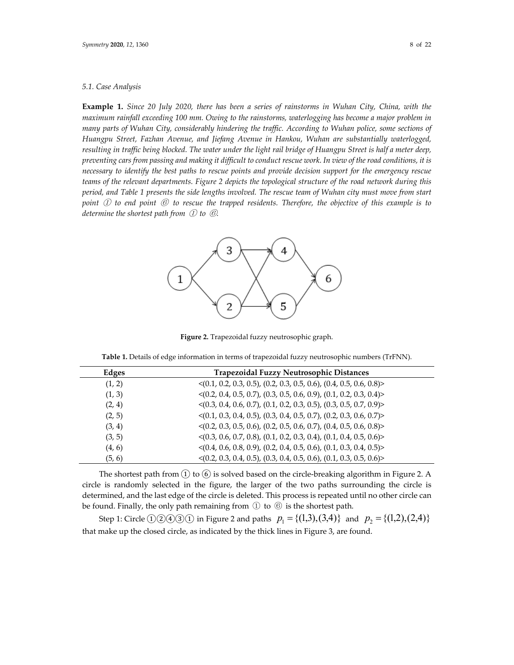#### *5.1. Case Analysis*

Example 1. Since 20 July 2020, there has been a series of rainstorms in Wuhan City, China, with the *maximum rainfall exceeding 100 mm. Owing to the rainstorms, waterlogging has become a major problem in many parts of Wuhan City, considerably hindering the traffic. According to Wuhan police, some sections of Huangpu Street, Fazhan Avenue, and Jiefang Avenue in Hankou, Wuhan are substantially waterlogged,* resulting in traffic being blocked. The water under the light rail bridge of Huangpu Street is half a meter deep, preventing cars from passing and making it difficult to conduct rescue work. In view of the road conditions, it is necessary to identify the best paths to rescue points and provide decision support for the emergency rescue teams of the relevant departments. Figure 2 depicts the topological structure of the road network during this period, and Table 1 presents the side lengths involved. The rescue team of Wuhan city must move from start *point* ① *to end point* ⑥ *to rescue the trapped residents. Therefore, the objective of this example is to determine the shortest path from* ① *to* ⑥*.*



**Figure 2.** Trapezoidal fuzzy neutrosophic graph.

| Edges  | Trapezoidal Fuzzy Neutrosophic Distances                                           |
|--------|------------------------------------------------------------------------------------|
| (1, 2) | $\langle (0.1, 0.2, 0.3, 0.5), (0.2, 0.3, 0.5, 0.6), (0.4, 0.5, 0.6, 0.8) \rangle$ |
| (1, 3) | $\langle (0.2, 0.4, 0.5, 0.7), (0.3, 0.5, 0.6, 0.9), (0.1, 0.2, 0.3, 0.4) \rangle$ |
| (2, 4) | $\langle (0.3, 0.4, 0.6, 0.7), (0.1, 0.2, 0.3, 0.5), (0.3, 0.5, 0.7, 0.9) \rangle$ |
| (2, 5) | $\langle (0.1, 0.3, 0.4, 0.5), (0.3, 0.4, 0.5, 0.7), (0.2, 0.3, 0.6, 0.7) \rangle$ |
| (3, 4) | $\langle (0.2, 0.3, 0.5, 0.6), (0.2, 0.5, 0.6, 0.7), (0.4, 0.5, 0.6, 0.8) \rangle$ |
| (3, 5) | $\langle (0.3, 0.6, 0.7, 0.8), (0.1, 0.2, 0.3, 0.4), (0.1, 0.4, 0.5, 0.6) \rangle$ |
| (4, 6) | $\langle (0.4, 0.6, 0.8, 0.9), (0.2, 0.4, 0.5, 0.6), (0.1, 0.3, 0.4, 0.5) \rangle$ |
| (5, 6) | $\langle (0.2, 0.3, 0.4, 0.5), (0.3, 0.4, 0.5, 0.6), (0.1, 0.3, 0.5, 0.6) \rangle$ |

**Table 1.** Details of edge information in terms of trapezoidal fuzzy neutrosophic numbers (TrFNN).

The shortest path from  $(1)$  to  $(6)$  is solved based on the circle-breaking algorithm in Figure 2. A circle is randomly selected in the figure, the larger of the two paths surrounding the circle is determined, and the last edge of the circle is deleted. This process is repeated until no other circle can be found. Finally, the only path remaining from ① to ⑥ is the shortest path.

Step 1: Circle  $\textcircled{1}\textcircled{2}\textcircled{4}\textcircled{3}\textcircled{1}$  in Figure 2 and paths  $p_1 = \{(1,3),(3,4)\}$  and  $p_2 = \{(1,2),(2,4)\}$ that make up the closed circle, as indicated by the thick lines in Figure 3, are found.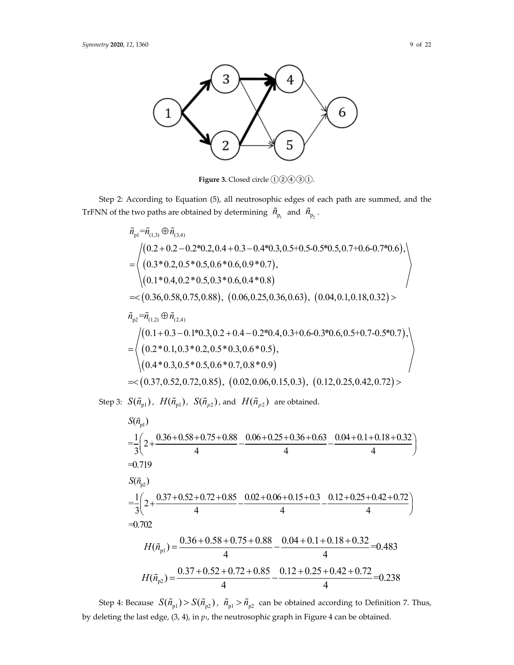

**Figure 3.** Closed circle ①②④③①.

Step 2: According to Equation (5), all neutrosophic edges of each path are summed, and the TrFNN of the two paths are obtained by determining  $\tilde{n}_{p_1}$  and  $\tilde{n}_{p_2}$ .

$$
\tilde{n}_{\text{p1}} = \tilde{n}_{(1,3)} \oplus \tilde{n}_{(3,4)}
$$
\n
$$
= \left\langle \begin{array}{l} (0.2 + 0.2 - 0.2 * 0.2, 0.4 + 0.3 - 0.4 * 0.3, 0.5 + 0.5 - 0.5 * 0.5, 0.7 + 0.6 - 0.7 * 0.6), \\ (0.3 * 0.2, 0.5 * 0.5, 0.6 * 0.6, 0.9 * 0.7), \\ (0.1 * 0.4, 0.2 * 0.5, 0.3 * 0.6, 0.4 * 0.8) \end{array} \right\rangle
$$
\n
$$
= \langle 0.36, 0.58, 0.75, 0.88), (0.06, 0.25, 0.36, 0.63), (0.04, 0.1, 0.18, 0.32) > \tilde{n}_{\text{p2}} = \tilde{n}_{(1,2)} \oplus \tilde{n}_{(2,4)}
$$
\n
$$
= \left\langle \begin{array}{l} (0.1 + 0.3 - 0.1 * 0.3, 0.2 + 0.4 - 0.2 * 0.4, 0.3 + 0.6 - 0.3 * 0.6, 0.5 + 0.7 - 0.5 * 0.7), \\ (0.2 * 0.1, 0.3 * 0.2, 0.5 * 0.3, 0.6 * 0.5), \\ (0.4 * 0.3, 0.5 * 0.5, 0.6 * 0.7, 0.8 * 0.9) \end{array} \right\rangle
$$
\n
$$
= \langle 0.37, 0.52, 0.72, 0.85), (0.02, 0.06, 0.15, 0.3), (0.12, 0.25, 0.42, 0.72) >
$$

Step 3:  $S(\tilde{n}_{\text{pl}})$ ,  $H(\tilde{n}_{\text{pl}})$ ,  $S(\tilde{n}_{p2})$ , and  $H(\tilde{n}_{p2})$  are obtained.

$$
S(\tilde{n}_{\text{pl}})
$$
\n
$$
= \frac{1}{3} \left( 2 + \frac{0.36 + 0.58 + 0.75 + 0.88}{4} - \frac{0.06 + 0.25 + 0.36 + 0.63}{4} - \frac{0.04 + 0.1 + 0.18 + 0.32}{4} \right)
$$
\n
$$
= 0.719
$$
\n
$$
S(\tilde{n}_{\text{pl}})
$$
\n
$$
= \frac{1}{3} \left( 2 + \frac{0.37 + 0.52 + 0.72 + 0.85}{4} - \frac{0.02 + 0.06 + 0.15 + 0.3}{4} - \frac{0.12 + 0.25 + 0.42 + 0.72}{4} \right)
$$
\n
$$
= 0.702
$$
\n
$$
H(\tilde{n}_{\text{pl}}) = \frac{0.36 + 0.58 + 0.75 + 0.88}{4} - \frac{0.04 + 0.1 + 0.18 + 0.32}{4} = 0.483
$$
\n
$$
H(\tilde{n}_{\text{pl}}) = \frac{0.37 + 0.52 + 0.72 + 0.85}{4} - \frac{0.12 + 0.25 + 0.42 + 0.72}{4} = 0.238
$$

Step 4: Because  $S(\tilde{n}_{p1}) > S(\tilde{n}_{p2})$ ,  $\tilde{n}_{p1} > \tilde{n}_{p2}$  can be obtained according to Definition 7. Thus, by deleting the last edge, (3, 4), in *p*1, the neutrosophic graph in Figure 4 can be obtained.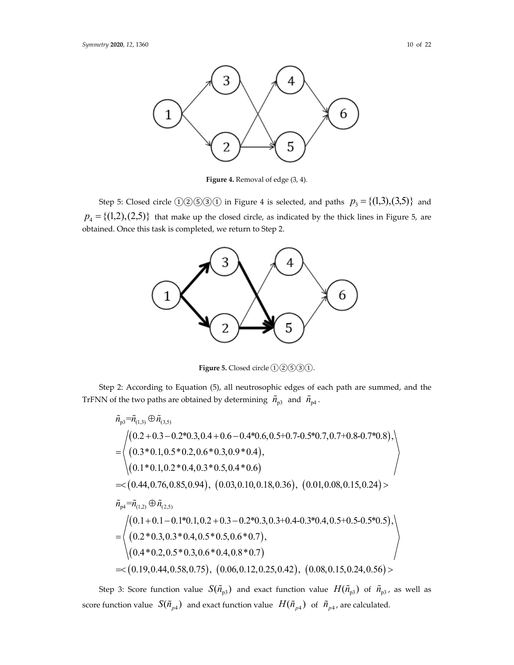

**Figure 4.** Removal of edge (3, 4).

Step 5: Closed circle  $(1)(2)(5)(3)(1)$  in Figure 4 is selected, and paths  $p_3 = \{(1,3),(3,5)\}$  and  $p_4 = \{(1,2),(2,5)\}$  that make up the closed circle, as indicated by the thick lines in Figure 5, are obtained. Once this task is completed, we return to Step 2.



**Figure 5.** Closed circle ①②⑤③①.

Step 2: According to Equation (5), all neutrosophic edges of each path are summed, and the TrFNN of the two paths are obtained by determining  $\tilde{n}_{\text{p3}}$  and  $\tilde{n}_{\text{p4}}$  .

$$
\tilde{n}_{p3} = \tilde{n}_{(1,3)} \oplus \tilde{n}_{(3,5)}
$$
\n
$$
= \left\langle \begin{array}{l} (0.2 + 0.3 - 0.2 * 0.3, 0.4 + 0.6 - 0.4 * 0.6, 0.5 + 0.7 - 0.5 * 0.7, 0.7 + 0.8 - 0.7 * 0.8), \\ (0.3 * 0.1, 0.5 * 0.2, 0.6 * 0.3, 0.9 * 0.4), \\ (0.1 * 0.1, 0.2 * 0.4, 0.3 * 0.5, 0.4 * 0.6) \end{array} \right\rangle
$$
\n
$$
= < (0.44, 0.76, 0.85, 0.94), (0.03, 0.10, 0.18, 0.36), (0.01, 0.08, 0.15, 0.24) > \tilde{n}_{p4} = \tilde{n}_{(1,2)} \oplus \tilde{n}_{(2,5)}
$$
\n
$$
= \left\langle \begin{array}{l} (0.1 + 0.1 - 0.1 * 0.1, 0.2 + 0.3 - 0.2 * 0.3, 0.3 + 0.4 - 0.3 * 0.4, 0.5 + 0.5 - 0.5 * 0.5), \\ (0.2 * 0.3, 0.3 * 0.4, 0.5 * 0.5, 0.6 * 0.7), \\ (0.4 * 0.2, 0.5 * 0.3, 0.6 * 0.4, 0.8 * 0.7) \end{array} \right\rangle
$$
\n
$$
= < (0.19, 0.44, 0.58, 0.75), (0.06, 0.12, 0.25, 0.42), (0.08, 0.15, 0.24, 0.56) >
$$

Step 3: Score function value  $S(\tilde{n}_{p3})$  and exact function value  $H(\tilde{n}_{p3})$  of  $\tilde{n}_{p3}$ , as well as score function value  $S(\tilde{n}_{p4})$  and exact function value  $H(\tilde{n}_{p4})$  of  $\tilde{n}_{p4}$ , are calculated.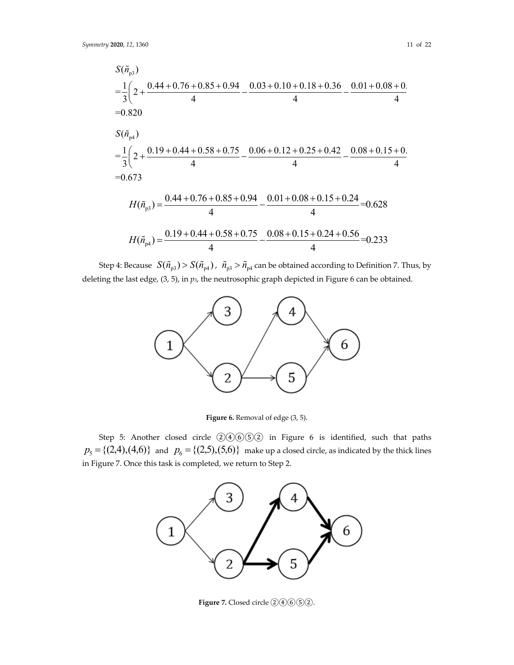$$
S(\tilde{n}_{\text{p3}})
$$
\n
$$
= \frac{1}{3} \left( 2 + \frac{0.44 + 0.76 + 0.85 + 0.94}{4} - \frac{0.03 + 0.10 + 0.18 + 0.36}{4} - \frac{0.01 + 0.08 + 0.44}{4} \right)
$$
\n
$$
= 0.820
$$
\n
$$
S(\tilde{n}_{\text{p4}})
$$
\n
$$
= \frac{1}{3} \left( 2 + \frac{0.19 + 0.44 + 0.58 + 0.75}{4} - \frac{0.06 + 0.12 + 0.25 + 0.42}{4} - \frac{0.08 + 0.15 + 0.44}{4} \right)
$$
\n
$$
= 0.673
$$
\n
$$
H(\tilde{n}_{\text{p3}}) = \frac{0.44 + 0.76 + 0.85 + 0.94}{4} - \frac{0.01 + 0.08 + 0.15 + 0.24}{4} = 0.628
$$
\n
$$
H(\tilde{n}_{\text{p4}}) = \frac{0.19 + 0.44 + 0.58 + 0.75}{4} - \frac{0.08 + 0.15 + 0.24 + 0.56}{4} = 0.233
$$

Step 4: Because  $S(\tilde{n}_{p3}) > S(\tilde{n}_{p4})$ ,  $\tilde{n}_{p3} > \tilde{n}_{p4}$  can be obtained according to Definition 7. Thus, by deleting the last edge, (3, 5), in *p*3, the neutrosophic graph depicted in Figure 6 can be obtained.



**Figure 6.** Removal of edge (3, 5).

Step 5: Another closed circle ②④⑥⑤② in Figure 6 is identified, such that paths  ${p_5} = {(2,4),(4,6)}$  and  ${p_6} = {(2,5),(5,6)}$  make up a closed circle, as indicated by the thick lines in Figure 7. Once this task is completed, we return to Step 2.



**Figure 7.** Closed circle ②④⑥⑤②.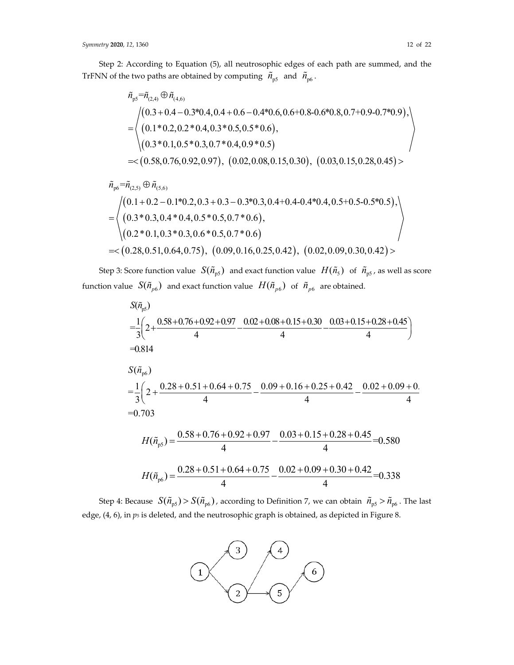Step 2: According to Equation (5), all neutrosophic edges of each path are summed, and the TrFNN of the two paths are obtained by computing  $\tilde{n}_{\rm ps}$  and  $\tilde{n}_{\rm p6}$ .

$$
\tilde{n}_{\text{p}s} = \tilde{n}_{(2,4)} \oplus \tilde{n}_{(4,6)}
$$
\n
$$
= \left\langle \begin{array}{l} (0.3 + 0.4 - 0.3^*0.4, 0.4 + 0.6 - 0.4^*0.6, 0.6 + 0.8 - 0.6^*0.8, 0.7 + 0.9 - 0.7^*0.9), \\ (0.1^* 0.2, 0.2^* 0.4, 0.3^* 0.5, 0.5^* 0.6), \\ (0.3^* 0.1, 0.5^* 0.3, 0.7^* 0.4, 0.9^* 0.5) \end{array} \right\rangle
$$
\n
$$
= \langle 0.58, 0.76, 0.92, 0.97), (0.02, 0.08, 0.15, 0.30), (0.03, 0.15, 0.28, 0.45) \rangle
$$

$$
\tilde{n}_{p6} = \tilde{n}_{(2,5)} \oplus \tilde{n}_{(5,6)}
$$
\n
$$
= \left\langle \begin{array}{l} (0.1 + 0.2 - 0.1^*0.2, 0.3 + 0.3 - 0.3^*0.3, 0.4 + 0.4 - 0.4^*0.4, 0.5 + 0.5 - 0.5^*0.5), \\ (0.3^* 0.3, 0.4^* 0.4, 0.5^* 0.5, 0.7^* 0.6), \\ (0.2^* 0.1, 0.3^* 0.3, 0.6^* 0.5, 0.7^* 0.6) \end{array} \right\rangle
$$
\n= $(0.28, 0.51, 0.64, 0.75), (0.09, 0.16, 0.25, 0.42), (0.02, 0.09, 0.30, 0.42) >$ 

Step 3: Score function value  $S(\tilde{n}_{p5})$  and exact function value  $H(\tilde{n}_5)$  of  $\tilde{n}_{p5}$ , as well as score function value  $S(\tilde{n}_{p6})$  and exact function value  $H(\tilde{n}_{p6})$  of  $\tilde{n}_{p6}$  are obtained.

$$
S(\tilde{n}_{\text{ps}})
$$
\n
$$
= \frac{1}{3} \left( 2 + \frac{0.58 + 0.76 + 0.92 + 0.97}{4} - \frac{0.02 + 0.08 + 0.15 + 0.30}{4} - \frac{0.03 + 0.15 + 0.28 + 0.45}{4} \right)
$$
\n
$$
= 0.814
$$
\n
$$
S(\tilde{n}_{\text{ps}})
$$
\n
$$
= \frac{1}{3} \left( 2 + \frac{0.28 + 0.51 + 0.64 + 0.75}{4} - \frac{0.09 + 0.16 + 0.25 + 0.42}{4} - \frac{0.02 + 0.09 + 0.45}{4} \right)
$$
\n
$$
= 0.703
$$
\n
$$
H(\tilde{n}_{\text{ps}}) = \frac{0.58 + 0.76 + 0.92 + 0.97}{4} - \frac{0.03 + 0.15 + 0.28 + 0.45}{4} = 0.580
$$
\n
$$
H(\tilde{n}_{\text{ps}}) = \frac{0.28 + 0.51 + 0.64 + 0.75}{4} - \frac{0.02 + 0.09 + 0.30 + 0.42}{4} = 0.338
$$

Step 4: Because  $S(\tilde{n}_{p5}) > S(\tilde{n}_{p6})$ , according to Definition 7, we can obtain  $\tilde{n}_{p5} > \tilde{n}_{p6}$ . The last edge, (4, 6), in  $p_5$  is deleted, and the neutrosophic graph is obtained, as depicted in Figure 8.

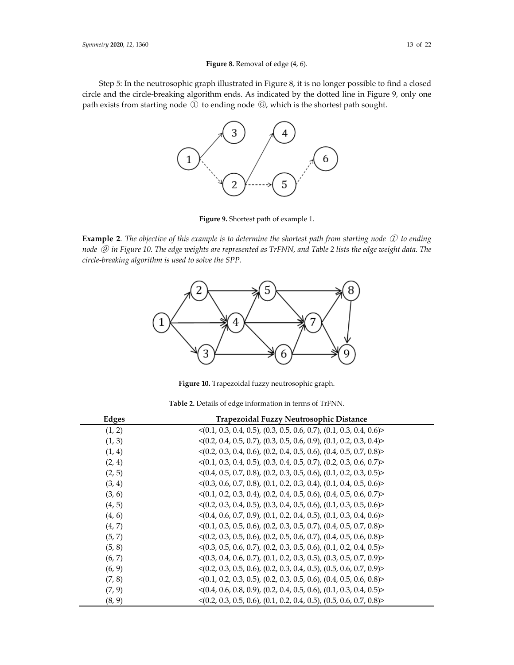#### **Figure 8.** Removal of edge (4, 6).

Step 5: In the neutrosophic graph illustrated in Figure 8, it is no longer possible to find a closed circle and the circle-breaking algorithm ends. As indicated by the dotted line in Figure 9, only one path exists from starting node ① to ending node ⑥, which is the shortest path sought.



**Figure 9.** Shortest path of example 1.

**Example 2.** The objective of this example is to determine the shortest path from starting node  $\mathcal{D}$  to ending node *(9)* in Figure 10. The edge weights are represented as TrFNN, and Table 2 lists the edge weight data. The *circle‐breaking algorithm is used to solve the SPP.*



**Figure 10.** Trapezoidal fuzzy neutrosophic graph.

|  | Table 2. Details of edge information in terms of TrFNN. |  |
|--|---------------------------------------------------------|--|
|--|---------------------------------------------------------|--|

| <b>Edges</b> | Trapezoidal Fuzzy Neutrosophic Distance                                            |
|--------------|------------------------------------------------------------------------------------|
| (1, 2)       | $\langle (0.1, 0.3, 0.4, 0.5), (0.3, 0.5, 0.6, 0.7), (0.1, 0.3, 0.4, 0.6) \rangle$ |
| (1, 3)       | $\langle (0.2, 0.4, 0.5, 0.7), (0.3, 0.5, 0.6, 0.9), (0.1, 0.2, 0.3, 0.4) \rangle$ |
| (1, 4)       | $\langle (0.2, 0.3, 0.4, 0.6), (0.2, 0.4, 0.5, 0.6), (0.4, 0.5, 0.7, 0.8) \rangle$ |
| (2, 4)       | $\langle (0.1, 0.3, 0.4, 0.5), (0.3, 0.4, 0.5, 0.7), (0.2, 0.3, 0.6, 0.7) \rangle$ |
| (2, 5)       | $\langle (0.4, 0.5, 0.7, 0.8), (0.2, 0.3, 0.5, 0.6), (0.1, 0.2, 0.3, 0.5) \rangle$ |
| (3, 4)       | $\langle (0.3, 0.6, 0.7, 0.8), (0.1, 0.2, 0.3, 0.4), (0.1, 0.4, 0.5, 0.6) \rangle$ |
| (3, 6)       | $\langle (0.1, 0.2, 0.3, 0.4), (0.2, 0.4, 0.5, 0.6), (0.4, 0.5, 0.6, 0.7) \rangle$ |
| (4, 5)       | $\langle (0.2, 0.3, 0.4, 0.5), (0.3, 0.4, 0.5, 0.6), (0.1, 0.3, 0.5, 0.6) \rangle$ |
| (4, 6)       | $\langle (0.4, 0.6, 0.7, 0.9), (0.1, 0.2, 0.4, 0.5), (0.1, 0.3, 0.4, 0.6) \rangle$ |
| (4, 7)       | $\langle (0.1, 0.3, 0.5, 0.6), (0.2, 0.3, 0.5, 0.7), (0.4, 0.5, 0.7, 0.8) \rangle$ |
| (5, 7)       | $\langle (0.2, 0.3, 0.5, 0.6), (0.2, 0.5, 0.6, 0.7), (0.4, 0.5, 0.6, 0.8) \rangle$ |
| (5, 8)       | $\langle (0.3, 0.5, 0.6, 0.7), (0.2, 0.3, 0.5, 0.6), (0.1, 0.2, 0.4, 0.5) \rangle$ |
| (6, 7)       | $\langle (0.3, 0.4, 0.6, 0.7), (0.1, 0.2, 0.3, 0.5), (0.3, 0.5, 0.7, 0.9) \rangle$ |
| (6, 9)       | $\langle (0.2, 0.3, 0.5, 0.6), (0.2, 0.3, 0.4, 0.5), (0.5, 0.6, 0.7, 0.9) \rangle$ |
| (7, 8)       | $\langle (0.1, 0.2, 0.3, 0.5), (0.2, 0.3, 0.5, 0.6), (0.4, 0.5, 0.6, 0.8) \rangle$ |
| (7, 9)       | $\langle (0.4, 0.6, 0.8, 0.9), (0.2, 0.4, 0.5, 0.6), (0.1, 0.3, 0.4, 0.5) \rangle$ |
| (8, 9)       | $\langle (0.2, 0.3, 0.5, 0.6), (0.1, 0.2, 0.4, 0.5), (0.5, 0.6, 0.7, 0.8) \rangle$ |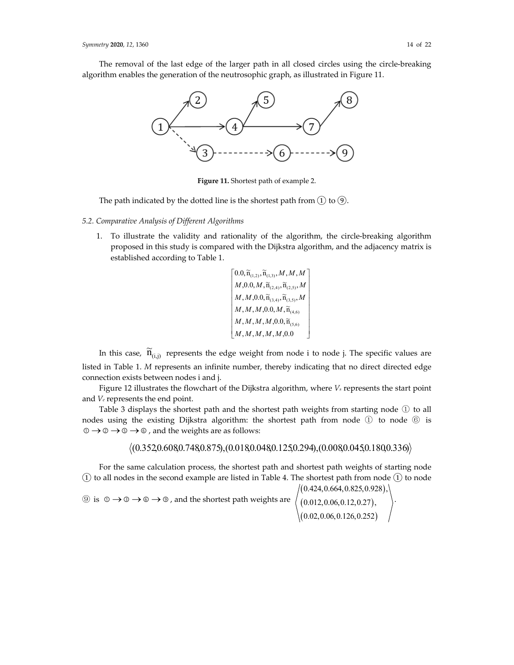.

The removal of the last edge of the larger path in all closed circles using the circle-breaking algorithm enables the generation of the neutrosophic graph, as illustrated in Figure 11.



**Figure 11.** Shortest path of example 2.

The path indicated by the dotted line is the shortest path from  $(1)$  to  $(9)$ .

#### *5.2. Comparative Analysis of Different Algorithms*

1. To illustrate the validity and rationality of the algorithm, the circle‐breaking algorithm proposed in this study is compared with the Dijkstra algorithm, and the adjacency matrix is established according to Table 1.

$$
\begin{bmatrix} 0.0,\widetilde{{\mathbf n}}_{(1,2)},\widetilde{{\mathbf n}}_{(1,3)},M,M,M\\ M,0.0,M,\widetilde{{\mathbf n}}_{(2,4)},\widetilde{{\mathbf n}}_{(2,5)},M\\ M,M,0.0,\widetilde{{\mathbf n}}_{(3,4)},\widetilde{{\mathbf n}}_{(3,5)},M\\ M,M,M,0.0,M,\widetilde{{\mathbf n}}_{(4,6)}\\ M,M,M,M,0.0,\widetilde{{\mathbf n}}_{(5,6)}\\ M,M,M,M,M,0.0 \end{bmatrix}
$$

In this case,  $\widetilde{\text{n}}_{\text{(i,j)}}$  represents the edge weight from node i to node j. The specific values are listed in Table 1. *M* represents an infinite number, thereby indicating that no direct directed edge connection exists between nodes i and j.

Figure 12 illustrates the flowchart of the Dijkstra algorithm, where *Vs* represents the start point and *Ve* represents the end point.

Table 3 displays the shortest path and the shortest path weights from starting node ① to all nodes using the existing Dijkstra algorithm: the shortest path from node ① to node ⑥ is  $\mathbb{O} \rightarrow \mathbb{O} \rightarrow \mathbb{O} \rightarrow \mathbb{O}$ , and the weights are as follows:

# $\langle (0.352,0.608,0.748,0.875), (0.018,0.048,0.125,0.294), (0.008,0.045,0.180,0.336) \rangle$

For the same calculation process, the shortest path and shortest path weights of starting node  $(1)$  to all nodes in the second example are listed in Table 4. The shortest path from node  $(1)$  to node

**(9)** is  $0 \rightarrow 0 \rightarrow 0$ , and the shortest path weights are  $(0.424, 0.664, 0.825, 0.928)$  $(0.012, 0.06, 0.12, 0.27)$  $(0.02, 0.06, 0.126, 0.252)$ 0.424,0.664,0.825,0.928 ,  $0.012, 0.06, 0.12, 0.27$ , 0.02,0.06,0.126,0.252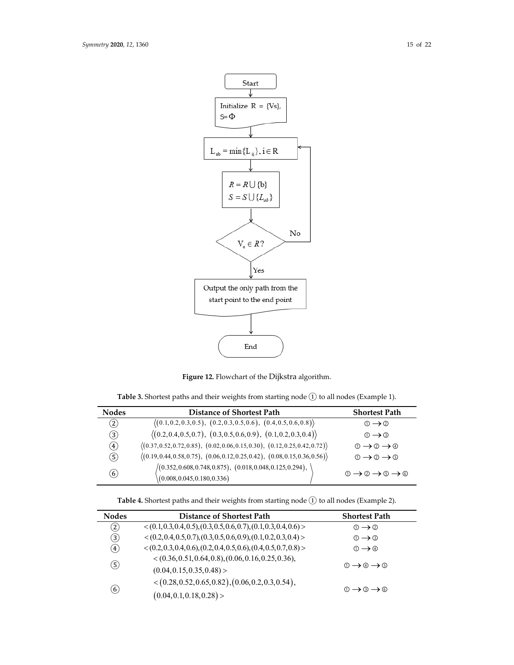

**Figure 12.** Flowchart of the Dijkstra algorithm.

**Table 3.** Shortest paths and their weights from starting node ① to all nodes (Example 1).

| <b>Nodes</b>      | <b>Distance of Shortest Path</b>                                                               | <b>Shortest Path</b>                                                      |
|-------------------|------------------------------------------------------------------------------------------------|---------------------------------------------------------------------------|
| (2)               | $\langle (0.1, 0.2, 0.3, 0.5), (0.2, 0.3, 0.5, 0.6), (0.4, 0.5, 0.6, 0.8) \rangle$             | $\mathbb{O} \rightarrow \mathbb{O}$                                       |
| (3)               | $\langle (0.2, 0.4, 0.5, 0.7), (0.3, 0.5, 0.6, 0.9), (0.1, 0.2, 0.3, 0.4) \rangle$             | $\mathbb{O} \rightarrow \mathbb{O}$                                       |
| $\mathcal{F}$     | $\langle (0.37, 0.52, 0.72, 0.85), (0.02, 0.06, 0.15, 0.30), (0.12, 0.25, 0.42, 0.72) \rangle$ | $\textcircled{1} \rightarrow \textcircled{2} \rightarrow \textcircled{4}$ |
| $\left( 5\right)$ | $\langle (0.19, 0.44, 0.58, 0.75), (0.06, 0.12, 0.25, 0.42), (0.08, 0.15, 0.36, 0.56) \rangle$ | $0 \rightarrow 0 \rightarrow 0$                                           |
|                   | $/(0.352, 0.608, 0.748, 0.875), (0.018, 0.048, 0.125, 0.294),$                                 |                                                                           |
| (6)               | (0.008, 0.045, 0.180, 0.336)                                                                   | $0 \rightarrow 0 \rightarrow 0 \rightarrow 0$                             |

| <b>Table 4.</b> Shortest paths and their weights from starting node $(1)$ to all nodes (Example 2). |  |  |  |  |  |
|-----------------------------------------------------------------------------------------------------|--|--|--|--|--|
|-----------------------------------------------------------------------------------------------------|--|--|--|--|--|

| <b>Nodes</b>      | <b>Distance of Shortest Path</b>                                    | <b>Shortest Path</b>                                                      |
|-------------------|---------------------------------------------------------------------|---------------------------------------------------------------------------|
| $\rm(2)$          | $<(0.1, 0.3, 0.4, 0.5), (0.3, 0.5, 0.6, 0.7), (0.1, 0.3, 0.4, 0.6)$ | $\mathbb{O} \rightarrow \mathbb{O}$                                       |
| 3)                | $<(0.2, 0.4, 0.5, 0.7), (0.3, 0.5, 0.6, 0.9), (0.1, 0.2, 0.3, 0.4)$ | $\mathbb{O} \rightarrow \mathbb{O}$                                       |
| $\left( 4\right)$ | $<(0.2, 0.3, 0.4, 0.6), (0.2, 0.4, 0.5, 0.6), (0.4, 0.5, 0.7, 0.8)$ | $\textcircled{1} \rightarrow \textcircled{4}$                             |
|                   | $< (0.36, 0.51, 0.64, 0.8), (0.06, 0.16, 0.25, 0.36),$              |                                                                           |
| (5)               | (0.04, 0.15, 0.35, 0.48)                                            | $\textcircled{1} \rightarrow \textcircled{4} \rightarrow \textcircled{5}$ |
|                   | $<$ (0.28, 0.52, 0.65, 0.82), (0.06, 0.2, 0.3, 0.54),               |                                                                           |
| $\left( 6\right)$ | (0.04, 0.1, 0.18, 0.28)                                             | $0 \rightarrow 0 \rightarrow 0$                                           |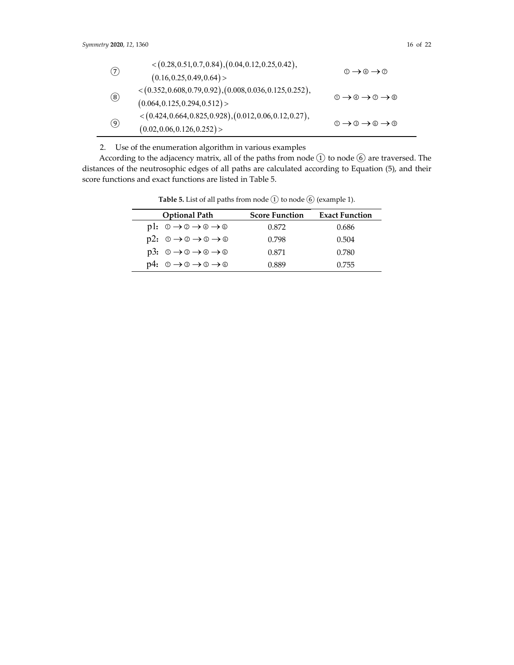| $\circled{7}$ | $\langle (0.28, 0.51, 0.7, 0.84), (0.04, 0.12, 0.25, 0.42),$<br>(0.16, 0.25, 0.49, 0.64)     | $\mathbb{0} \rightarrow \mathbb{0} \rightarrow \mathbb{0}$                        |
|---------------|----------------------------------------------------------------------------------------------|-----------------------------------------------------------------------------------|
| $\circled{8}$ | $<(0.352, 0.608, 0.79, 0.92), (0.008, 0.036, 0.125, 0.252),$<br>(0.064, 0.125, 0.294, 0.512) | $\mathbb{0} \rightarrow \mathbb{0} \rightarrow \mathbb{0} \rightarrow \mathbb{0}$ |
| $\circled{9}$ | $<(0.424, 0.664, 0.825, 0.928), (0.012, 0.06, 0.12, 0.27),$<br>(0.02, 0.06, 0.126, 0.252)    | $0 \rightarrow 0 \rightarrow 0 \rightarrow 0$                                     |

2. Use of the enumeration algorithm in various examples

According to the adjacency matrix, all of the paths from node ① to node ⑥ are traversed. The distances of the neutrosophic edges of all paths are calculated according to Equation (5), and their score functions and exact functions are listed in Table 5.

| <b>Optional Path</b>                                                                  | <b>Score Function</b> | <b>Exact Function</b> |
|---------------------------------------------------------------------------------------|-----------------------|-----------------------|
| pl: $\mathbb{O} \rightarrow \mathbb{O} \rightarrow \mathbb{O} \rightarrow \mathbb{O}$ | 0.872                 | 0.686                 |
| $p2: \mathbb{O} \rightarrow \mathbb{O} \rightarrow \mathbb{O} \rightarrow \mathbb{O}$ | 0.798                 | 0.504                 |
| $p3: \mathbb{O} \rightarrow \mathbb{O} \rightarrow \mathbb{O} \rightarrow \mathbb{O}$ | 0.871                 | 0.780                 |
| $p4: ① \rightarrow ③ \rightarrow ⑤ \rightarrow ③$                                     | 0.889                 | 0.755                 |

**Table 5.** List of all paths from node ① to node ⑥ (example 1).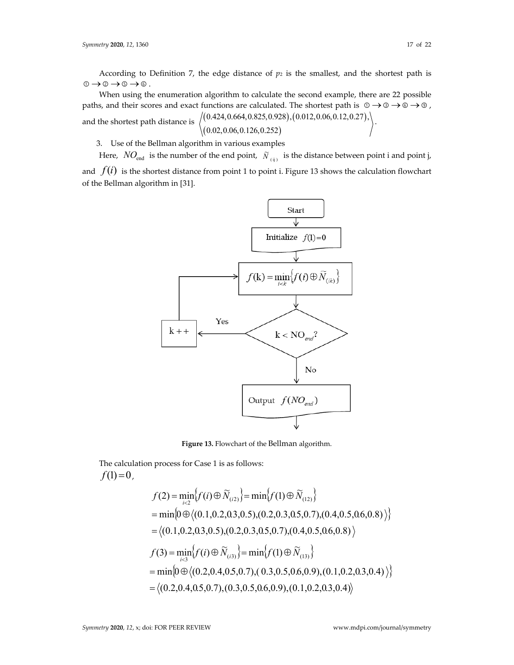According to Definition 7, the edge distance of  $p_2$  is the smallest, and the shortest path is  $\circledcirc \rightarrow \circledcirc \rightarrow \circledcirc \rightarrow \circledcirc$ .

When using the enumeration algorithm to calculate the second example, there are 22 possible paths, and their scores and exact functions are calculated. The shortest path is  $0 \to 0 \to 0 \to 0$ , and the shortest path distance is  $\left\langle \text{(0.424, 0.664, 0.825, 0.928), (0.012, 0.06, 0.12, 0.27)}\right\rangle$  $(0.02, 0.06, 0.126, 0.252)$  $0.424, 0.664, 0.825, 0.928), (0.012, 0.06, 0.12, 0.27),$ 0.02,0.06,0.126,0.252 .

3. Use of the Bellman algorithm in various examples

Here,  $\ N O_{\text{end}}$  is the number of the end point,  $\ \tilde{N} _{(ii)} \ \$ is the distance between point i and point j, and  $f(i)$  is the shortest distance from point 1 to point i. Figure 13 shows the calculation flowchart of the Bellman algorithm in [31].



**Figure 13.** Flowchart of the Bellman algorithm.

The calculation process for Case 1 is as follows:  $f(1) = 0$ ,

$$
f(2) = \min_{i \leq 2} \{ f(i) \oplus \widetilde{N}_{(i2)} \} = \min \{ f(1) \oplus \widetilde{N}_{(12)} \}
$$
  
= min{0 \oplus \langle (0.1, 0.2, 0.3, 0.5), (0.2, 0.3, 0.5, 0.7), (0.4, 0.5, 0.6, 0.8) \rangle}   
= \langle (0.1, 0.2, 0.3, 0.5), (0.2, 0.3, 0.5, 0.7), (0.4, 0.5, 0.6, 0.8) \rangle   
f(3) = \min\_{i \leq 3} \{ f(i) \oplus \widetilde{N}\_{(i3)} \} = \min \{ f(1) \oplus \widetilde{N}\_{(13)} \}  
= min{0 \oplus \langle (0.2, 0.4, 0.5, 0.7), (0.3, 0.5, 0.6, 0.9), (0.1, 0.2, 0.3, 0.4) \rangle}   
= \langle (0.2, 0.4, 0.5, 0.7), (0.3, 0.5, 0.6, 0.9), (0.1, 0.2, 0.3, 0.4) \rangle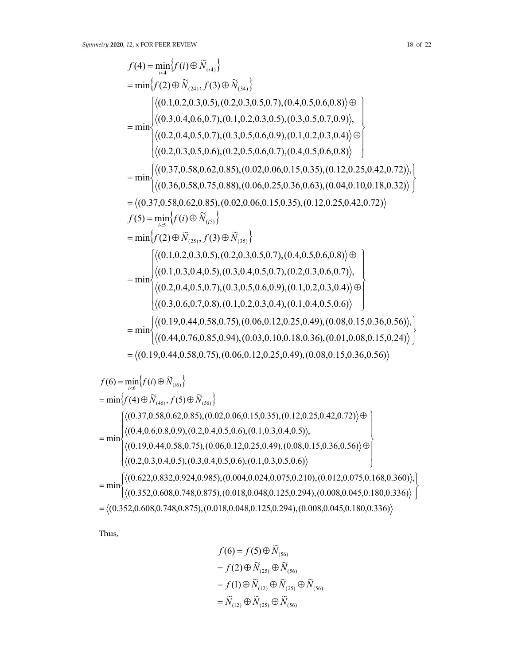$$
f(4) = \min_{i \in A} \{f(i) \oplus \widetilde{N}_{(i4)}\}
$$
  
\n
$$
= \min \{f(2) \oplus \widetilde{N}_{(24)}, f(3) \oplus \widetilde{N}_{(34)}\}
$$
  
\n
$$
= \min \{f(2) \oplus \widetilde{N}_{(24)}, f(3) \oplus \widetilde{N}_{(34)}\}
$$
  
\n
$$
= \min \{f(0.1, 0.2, 0.3, 0.5), (0.2, 0.3, 0.5, 0.6, 0.7), (0.4, 0.5, 0.6, 0.8)) \oplus \}
$$
  
\n
$$
\langle (0.2, 0.4, 0.5, 0.7), (0.3, 0.5, 0.6, 0.9), (0.1, 0.2, 0.3, 0.4)) \oplus \}
$$
  
\n
$$
\langle (0.2, 0.4, 0.5, 0.6), (0.2, 0.5, 0.6, 0.7), (0.4, 0.5, 0.6, 0.8))
$$
  
\n
$$
= \min \{f(0.37, 0.58, 0.62, 0.85), (0.02, 0.06, 0.15, 0.35), (0.12, 0.25, 0.42, 0.72)),
$$
  
\n
$$
= \langle (0.37, 0.58, 0.62, 0.85), (0.02, 0.06, 0.15, 0.35), (0.12, 0.25, 0.42, 0.72))
$$
  
\n
$$
f(5) = \min_{i \in S} \{f(i) \oplus \widetilde{N}_{(i5)}\}
$$
  
\n
$$
= \min \{f(2) \oplus \widetilde{N}_{(25)}, f(3) \oplus \widetilde{N}_{(35)}\}
$$
  
\n
$$
= \min \{f(2) \oplus \widetilde{N}_{(25)}, f(3) \oplus \widetilde{N}_{(35)}\}
$$
  
\n
$$
= \min \{f(0.1, 0.3, 0.4, 0.5), (0.2, 0.3, 0.
$$

$$
f(6) = \min_{i<6} \{f(i) \oplus \widetilde{N}_{(i6)}\}
$$
  
\n
$$
= \min \{f(4) \oplus \widetilde{N}_{(46)}, f(5) \oplus \widetilde{N}_{(56)}\}
$$
  
\n
$$
= \min \{((0.37, 0.58, 0.62, 0.85), (0.02, 0.06, 0.15, 0.35), (0.12, 0.25, 0.42, 0.72)) \oplus (\langle (0.4, 0.6, 0.8, 0.9), (0.2, 0.4, 0.5, 0.6), (0.1, 0.3, 0.4, 0.5)), (\langle (0.19, 0.44, 0.58, 0.75), (0.06, 0.12, 0.25, 0.49), (0.08, 0.15, 0.36, 0.56)) \oplus (\langle (0.2, 0.3, 0.4, 0.5), (0.3, 0.4, 0.5, 0.6), (0.1, 0.3, 0.5, 0.6), (\langle (0.3, 0.4, 0.5), (0.3, 0.4, 0.5), (0.004, 0.024, 0.075, 0.210), (0.012, 0.075, 0.168, 0.360))\}\
$$
  
\n
$$
= \min \{((0.622, 0.832, 0.924, 0.985), (0.004, 0.024, 0.075, 0.210), (0.012, 0.075, 0.180, 0.336)) \}
$$
  
\n
$$
= \langle (0.352, 0.608, 0.748, 0.875), (0.018, 0.048, 0.125, 0.294), (0.008, 0.045, 0.180, 0.336)\rangle
$$

Thus,

$$
f(6) = f(5) \oplus \widetilde{N}_{(56)}
$$
  
=  $f(2) \oplus \widetilde{N}_{(25)} \oplus \widetilde{N}_{(56)}$   
=  $f(1) \oplus \widetilde{N}_{(12)} \oplus \widetilde{N}_{(25)} \oplus \widetilde{N}_{(56)}$   
=  $\widetilde{N}_{(12)} \oplus \widetilde{N}_{(25)} \oplus \widetilde{N}_{(56)}$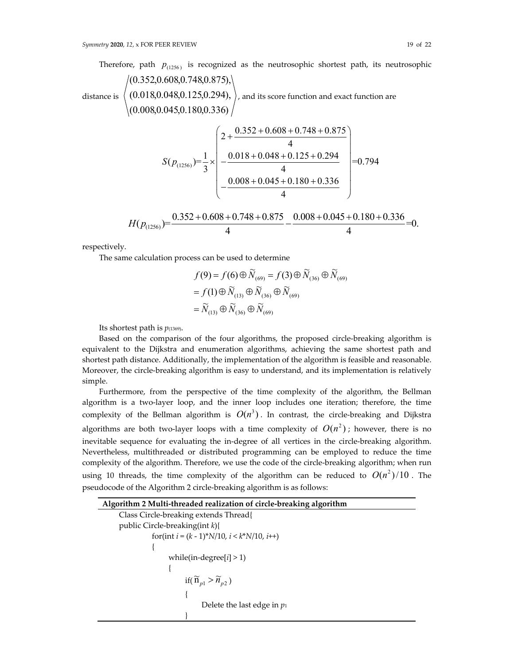Therefore, path  $p_{(1256)}$  is recognized as the neutrosophic shortest path, its neutrosophic

distance is (0.008,0.045,0.180,0.336) (0.018,0.048,0.125,0.294), (0.352,0.608,0.748,0.875), , and its score function and exact function are

$$
S(p_{(1256)}) = \frac{1}{3} \times \left(\begin{array}{r} 2 + \frac{0.352 + 0.608 + 0.748 + 0.875}{4} \\ -\frac{0.018 + 0.048 + 0.125 + 0.294}{4} \\ -\frac{0.008 + 0.045 + 0.180 + 0.336}{4} \end{array}\right) = 0.794
$$

$$
H(p_{(1256)}) = \frac{0.352 + 0.608 + 0.748 + 0.875}{4} - \frac{0.008 + 0.045 + 0.180 + 0.336}{4} = 0.
$$

respectively.

The same calculation process can be used to determine

$$
f(9) = f(6) \oplus \widetilde{N}_{(69)} = f(3) \oplus \widetilde{N}_{(36)} \oplus \widetilde{N}_{(69)}
$$
  
=  $f(1) \oplus \widetilde{N}_{(13)} \oplus \widetilde{N}_{(36)} \oplus \widetilde{N}_{(69)}$   
=  $\widetilde{N}_{(13)} \oplus \widetilde{N}_{(36)} \oplus \widetilde{N}_{(69)}$ 

Its shortest path is  $p_{(1369)}$ .

Based on the comparison of the four algorithms, the proposed circle‐breaking algorithm is equivalent to the Dijkstra and enumeration algorithms, achieving the same shortest path and shortest path distance. Additionally, the implementation of the algorithm is feasible and reasonable. Moreover, the circle-breaking algorithm is easy to understand, and its implementation is relatively simple.

Furthermore, from the perspective of the time complexity of the algorithm, the Bellman algorithm is a two-layer loop, and the inner loop includes one iteration; therefore, the time complexity of the Bellman algorithm is  $O(n^3)$ . In contrast, the circle-breaking and Dijkstra algorithms are both two-layer loops with a time complexity of  $O(n^2)$  ; however, there is no inevitable sequence for evaluating the in‐degree of all vertices in the circle‐breaking algorithm. Nevertheless, multithreaded or distributed programming can be employed to reduce the time complexity of the algorithm. Therefore, we use the code of the circle-breaking algorithm; when run using 10 threads, the time complexity of the algorithm can be reduced to  $O(n^2)/10$ . The pseudocode of the Algorithm 2 circle‐breaking algorithm is as follows:

## **Algorithm 2 Multi‐threaded realization of circle‐breaking algorithm**

Class Circle‐breaking extends Thread{ public Circle‐breaking(int *k*){ for(int *i* = (*k* ‐ 1)\**N*/10, *i* < *k*\**N*/10, *i*++)  $\left\{ \begin{array}{c} 1 & 1 \\ 1 & 1 \end{array} \right\}$  while(in‐degree[*i*] > 1)  $\{$  $\inf(\widetilde{n}_{p1} > \widetilde{n}_{p2})$  $\{$  Delete the last edge in *p*<sup>1</sup> }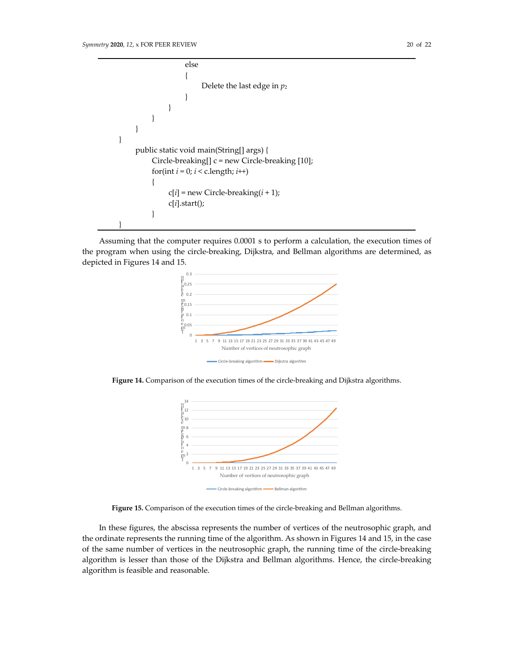```
     else
\{      Delete the last edge in p2
     }
    }
             }
     }
}
     public static void main(String[] args) {    
              Circle‐breaking[] c = new Circle‐breaking [10];
          for(int i = 0; i < c.length; i+)
              {
               c[i] = new Circle-breaking(i + 1);
                   c[i].start();
             }
}
```
Assuming that the computer requires 0.0001 s to perform a calculation, the execution times of the program when using the circle-breaking, Dijkstra, and Bellman algorithms are determined, as depicted in Figures 14 and 15.



**Figure 14.** Comparison of the execution times of the circle‐breaking and Dijkstra algorithms.



**Figure 15.** Comparison of the execution times of the circle‐breaking and Bellman algorithms.

In these figures, the abscissa represents the number of vertices of the neutrosophic graph, and the ordinate represents the running time of the algorithm. As shown in Figures 14 and 15, in the case of the same number of vertices in the neutrosophic graph, the running time of the circle‐breaking algorithm is lesser than those of the Dijkstra and Bellman algorithms. Hence, the circle‐breaking algorithm is feasible and reasonable.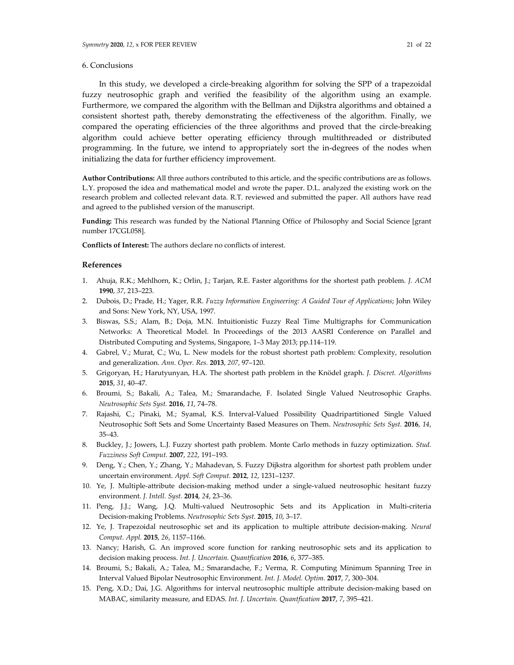#### 6. Conclusions

In this study, we developed a circle-breaking algorithm for solving the SPP of a trapezoidal fuzzy neutrosophic graph and verified the feasibility of the algorithm using an example. Furthermore, we compared the algorithm with the Bellman and Dijkstra algorithms and obtained a consistent shortest path, thereby demonstrating the effectiveness of the algorithm. Finally, we compared the operating efficiencies of the three algorithms and proved that the circle-breaking algorithm could achieve better operating efficiency through multithreaded or distributed programming. In the future, we intend to appropriately sort the in‐degrees of the nodes when initializing the data for further efficiency improvement.

**Author Contributions:** All three authors contributed to this article, and the specific contributions are as follows. L.Y. proposed the idea and mathematical model and wrote the paper. D.L. analyzed the existing work on the research problem and collected relevant data. R.T. reviewed and submitted the paper. All authors have read and agreed to the published version of the manuscript.

**Funding:** This research was funded by the National Planning Office of Philosophy and Social Science [grant number 17CGL058].

**Conflicts of Interest:** The authors declare no conflicts of interest.

#### **References**

- 1. Ahuja, R.K.; Mehlhorn, K.; Orlin, J.; Tarjan, R.E. Faster algorithms for the shortest path problem. *J. ACM* **1990**, *37*, 213–223.
- 2. Dubois, D.; Prade, H.; Yager, R.R. *Fuzzy Information Engineering: A Guided Tour of Applications*; John Wiley and Sons: New York, NY, USA, 1997.
- 3. Biswas, S.S.; Alam, B.; Doja, M.N. Intuitionistic Fuzzy Real Time Multigraphs for Communication Networks: A Theoretical Model. In Proceedings of the 2013 AASRI Conference on Parallel and Distributed Computing and Systems, Singapore, 1–3 May 2013; pp.114–119.
- 4. Gabrel, V.; Murat, C.; Wu, L. New models for the robust shortest path problem: Complexity, resolution and generalization. *Ann. Oper. Res.* **2013**, *207*, 97–120.
- 5. Grigoryan, H.; Harutyunyan, H.A. The shortest path problem in the Knödel graph. *J. Discret. Algorithms* **2015**, *31*, 40–47.
- 6. Broumi, S.; Bakali, A.; Talea, M.; Smarandache, F. Isolated Single Valued Neutrosophic Graphs. *Neutrosophic Sets Syst.* **2016**, *11*, 74–78.
- 7. Rajashi, C.; Pinaki, M.; Syamal, K.S. Interval‐Valued Possibility Quadripartitioned Single Valued Neutrosophic Soft Sets and Some Uncertainty Based Measures on Them. *Neutrosophic Sets Syst.* **2016**, *14*, 35–43.
- 8. Buckley, J.; Jowers, L.J. Fuzzy shortest path problem. Monte Carlo methods in fuzzy optimization. *Stud. Fuzziness Soft Comput.* **2007**, *222*, 191–193.
- 9. Deng, Y.; Chen, Y.; Zhang, Y.; Mahadevan, S. Fuzzy Dijkstra algorithm for shortest path problem under uncertain environment. *Appl. Soft Comput.* **2012**, *12*, 1231–1237.
- 10. Ye, J. Multiple‐attribute decision‐making method under a single‐valued neutrosophic hesitant fuzzy environment. *J. Intell. Syst.* **2014**, *24*, 23–36.
- 11. Peng, J.J.; Wang, J.Q. Multi‐valued Neutrosophic Sets and its Application in Multi‐criteria Decision‐making Problems. *Neutrosophic Sets Syst.* **2015**, *10*, 3–17.
- 12. Ye, J. Trapezoidal neutrosophic set and its application to multiple attribute decision‐making. *Neural Comput. Appl.* **2015**, *26*, 1157–1166.
- 13. Nancy; Harish, G. An improved score function for ranking neutrosophic sets and its application to decision making process. *Int. J. Uncertain. Quantfication* **2016**, *6*, 377–385.
- 14. Broumi, S.; Bakali, A.; Talea, M.; Smarandache, F.; Verma, R. Computing Minimum Spanning Tree in Interval Valued Bipolar Neutrosophic Environment. *Int. J. Model. Optim.* **2017**, *7*, 300–304.
- 15. Peng, X.D.; Dai, J.G. Algorithms for interval neutrosophic multiple attribute decision-making based on MABAC, similarity measure, and EDAS. *Int. J. Uncertain. Quantfication* **2017**, *7*, 395–421.